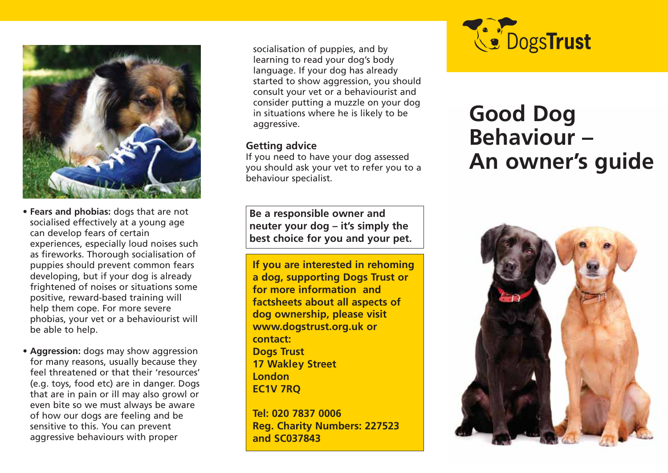

- **Fears and phobias:** dogs that are not socialised effectively at a young age can develop fears of certain experiences, especially loud noises such as fireworks. Thorough socialisation of puppies should prevent common fears developing, but if your dog is already frightened of noises or situations some positive, reward-based training will help them cope. For more severe phobias, your vet or a behaviourist will be able to help.
- **Aggression:** dogs may show aggression for many reasons, usually because they feel threatened or that their 'resources' (e.g. toys, food etc) are in danger. Dogs that are in pain or ill may also growl or even bite so we must always be aware of how our dogs are feeling and be sensitive to this. You can prevent aggressive behaviours with proper

socialisation of puppies, and by learning to read your dog's body language. If your dog has already started to show aggression, you should consult your vet or a behaviourist and consider putting a muzzle on your dog in situations where he is likely to be aggressive.

### **Getting advice**

If you need to have your dog assessed you should ask your vet to refer you to a behaviour specialist.

**Be a responsible owner and neuter your dog – it's simply the best choice for you and your pet.**

**If you are interested in rehoming a dog, supporting Dogs Trust or for more information and factsheets about all aspects of dog ownership, please visit www.dogstrust.org.uk or contact: Dogs Trust 17 Wakley Street London EC1V 7RQ**

**Tel: 020 7837 0006 Reg. Charity Numbers: 227523 and SC037843**



# **Good Dog Behaviour – An owner's guide**